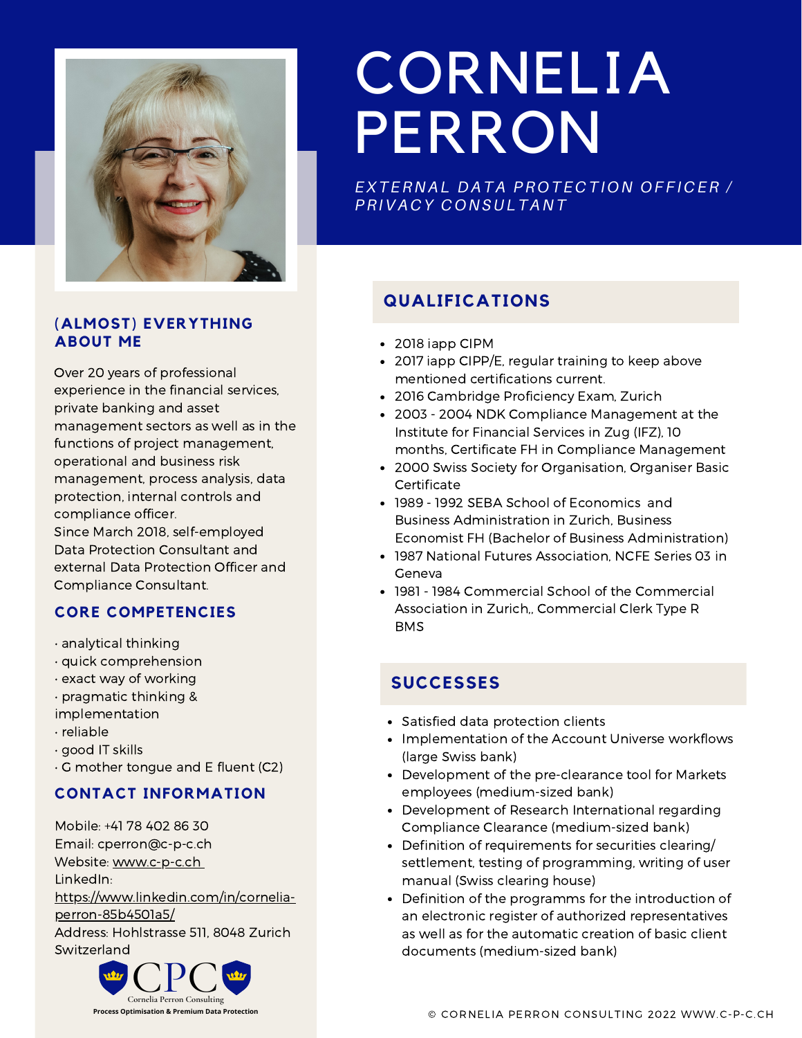

#### **(ALMOST) EVERYTHING ABOUT ME**

Over 20 years of professional experience in the financial services, private banking and asset management sectors as well as in the functions of project management, operational and business risk management, process analysis, data protection, internal controls and compliance officer. Since March 2018, self-employed Data Protection Consultant and external Data Protection Officer and Compliance Consultant.

### **CORE COMPETENCIES**

- analytical thinking
- quick comprehension
- exact way of working
- pragmatic thinking &
- implementation
- reliable
- good IT skills
- G mother tongue and E fluent (C2)

#### **CONTACT INFORMATION**

Mobile: +41 78 402 86 30 Email: cperron@c-p-c.ch Website: [www.c-p-c.ch](http://www.c-p-c.ch/) LinkedIn: [https://www.linkedin.com/in/cornelia](https://www.linkedin.com/in/cornelia-perron-85b4501a5/)perron-85b4501a5/ Address: Hohlstrasse 511, 8048 Zurich Switzerland



# CORNELIA PERRON

*EXTER N AL D ATA PR O TE C TI O N O F F I C ER / PRIVA C Y C O N SULTA N T*

# **QUALIFICATIONS**

- 2018 iapp CIPM
- 2017 iapp CIPP/E, regular training to keep above mentioned certifications current.
- 2016 Cambridge Proficiency Exam, Zurich
- 2003 2004 NDK Compliance Management at the Institute for Financial Services in Zug (IFZ), 10 months, Certificate FH in Compliance Management
- 2000 Swiss Society for Organisation, Organiser Basic Certificate
- 1989 1992 SEBA School of Economics and Business Administration in Zurich, Business Economist FH (Bachelor of Business Administration)
- 1987 National Futures Association, NCFE Series 03 in Geneva
- 1981 1984 Commercial School of the Commercial Association in Zurich,, Commercial Clerk Type R BMS

# **SUCCESSES**

- Satisfied data protection clients
- Implementation of the Account Universe workflows (large Swiss bank)
- Development of the pre-clearance tool for Markets employees (medium-sized bank)
- Development of Research International regarding Compliance Clearance (medium-sized bank)
- Definition of requirements for securities clearing/ settlement, testing of programming, writing of user manual (Swiss clearing house)
- Definition of the programms for the introduction of an electronic register of authorized representatives as well as for the automatic creation of basic client documents (medium-sized bank)